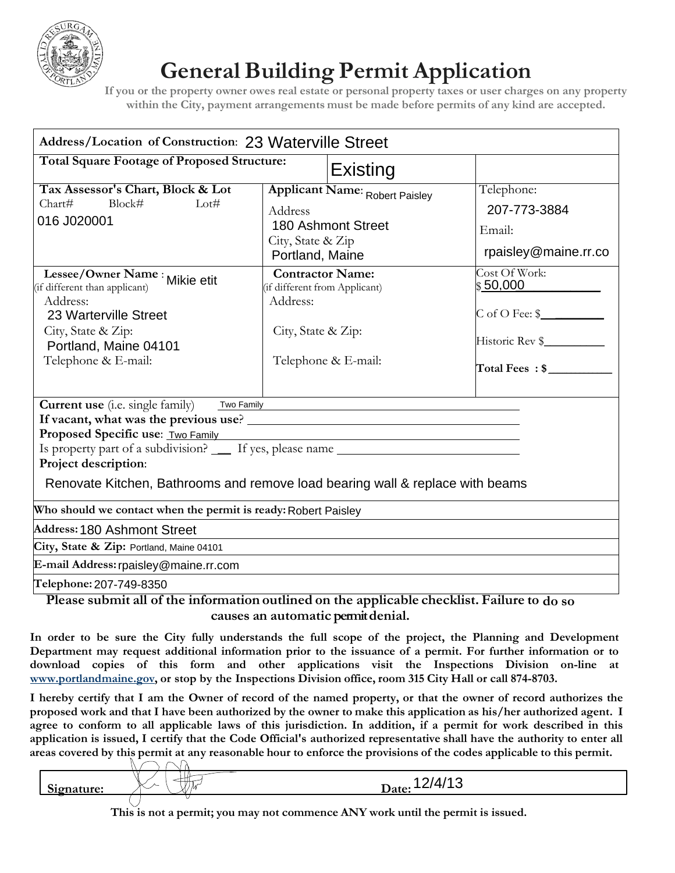

## **General Building Permit Application**

**If you or the property owner owes real estate or personal property taxes or user charges on any property within the City, payment arrangements must be made before permits of any kind are accepted.**

| <b>Address/Location of Construction: 23 Waterville Street</b>                                                                                                                                                                                                                                                                              |                                                                                                                   |                                                                                               |
|--------------------------------------------------------------------------------------------------------------------------------------------------------------------------------------------------------------------------------------------------------------------------------------------------------------------------------------------|-------------------------------------------------------------------------------------------------------------------|-----------------------------------------------------------------------------------------------|
| <b>Total Square Footage of Proposed Structure:</b>                                                                                                                                                                                                                                                                                         | Existing                                                                                                          |                                                                                               |
| Tax Assessor's Chart, Block & Lot<br>Block#<br>Chart#<br>Lot#<br>016 J020001                                                                                                                                                                                                                                                               | Applicant Name: Robert Paisley<br>Address<br>180 Ashmont Street<br>City, State & Zip<br>Portland, Maine           | Telephone:<br>207-773-3884<br>Email:<br>rpaisley@maine.rr.co                                  |
| Lessee/Owner Name : Mikie etit<br>(if different than applicant)<br>Address:<br>23 Warterville Street<br>City, State & Zip:<br>Portland, Maine 04101<br>Telephone & E-mail:                                                                                                                                                                 | <b>Contractor Name:</b><br>(if different from Applicant)<br>Address:<br>City, State & Zip:<br>Telephone & E-mail: | Cost Of Work:<br>\$50,000<br>$C$ of O Fee: $\frac{C}{2}$<br>Historic Rev \$<br>Total Fees: \$ |
| <b>Current use</b> (i.e. single family)<br>Two Family<br>Proposed Specific use: Two Family Manual Community of the Specific Use of Two Family<br>Is property part of a subdivision? _____ If yes, please name ___________________<br>Project description:<br>Renovate Kitchen, Bathrooms and remove load bearing wall & replace with beams |                                                                                                                   |                                                                                               |
| Who should we contact when the permit is ready: Robert Paisley                                                                                                                                                                                                                                                                             |                                                                                                                   |                                                                                               |
| Address: 180 Ashmont Street                                                                                                                                                                                                                                                                                                                |                                                                                                                   |                                                                                               |
| City, State & Zip: Portland, Maine 04101                                                                                                                                                                                                                                                                                                   |                                                                                                                   |                                                                                               |
| E-mail Address: rpaisley@maine.rr.com                                                                                                                                                                                                                                                                                                      |                                                                                                                   |                                                                                               |
| Telephone: 207-749-8350                                                                                                                                                                                                                                                                                                                    |                                                                                                                   |                                                                                               |

**Please submit all of the information outlined on the applicable checklist. Failure to do so causes an automatic permit denial.**

**In order to be sure the City fully understands the full scope of the project, the Planning and Development Department may request additional information prior to the issuance of a permit. For further information or to download copies of this form and other applications visit the Inspections Division on-line at www.portlandmaine.gov, or stop by the Inspections Division office, room 315 City Hall or call 874-8703.**

**I hereby certify that I am the Owner of record of the named property, or that the owner of record authorizes the proposed work and that I have been authorized by the owner to make this application as his/her authorized agent. I agree to conform to all applicable laws of this jurisdiction. In addition, if a permit for work described in this application is issued, I certify that the Code Official's authorized representative shall have the authority to enter all areas covered by this permit at any reasonable hour to enforce the provisions of the codes applicable to this permit.**

**Signature:** Date: 12/4/13

**This is not a permit; you may not commence ANY work until the permit is issued.**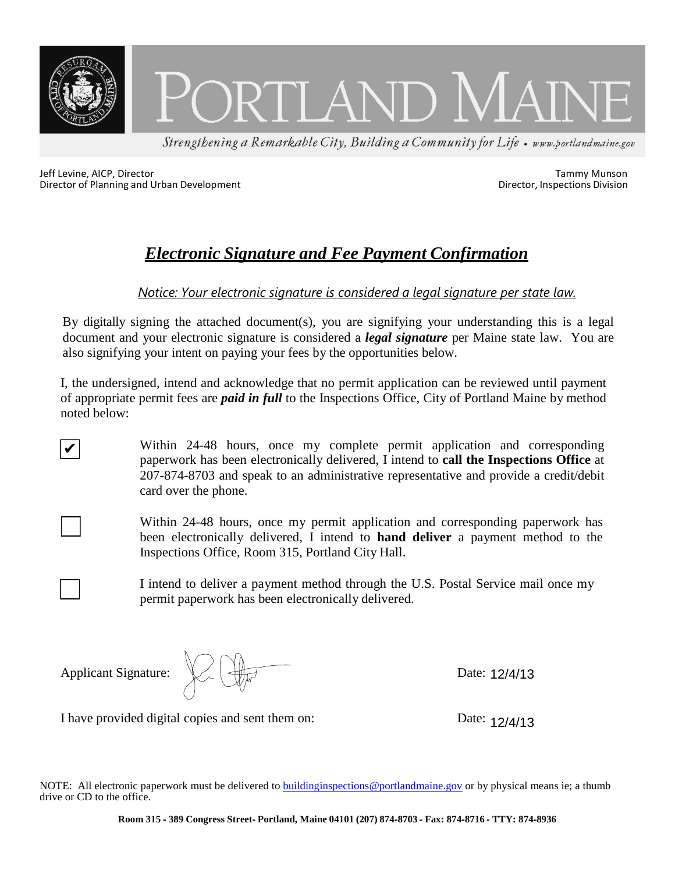

Jeff Levine, AICP, Director and Urban Development<br>
Director of Planning and Urban Development<br>
Director, Inspections Division Director of Planning and Urban Development

### *Electronic Signature and Fee Payment Confirmation*

*Notice: Your electronic signature is considered a legal signature per state law.*

By digitally signing the attached document(s), you are signifying your understanding this is a legal document and your electronic signature is considered a *legal signature* per Maine state law. You are also signifying your intent on paying your fees by the opportunities below.

I, the undersigned, intend and acknowledge that no permit application can be reviewed until payment of appropriate permit fees are *paid in full* to the Inspections Office, City of Portland Maine by method noted below:

> Within 24-48 hours, once my complete permit application and corresponding paperwork has been electronically delivered, I intend to **call the Inspections Office** at 207-874-8703 and speak to an administrative representative and provide a credit/debit card over the phone.

Within 24-48 hours, once my permit application and corresponding paperwork has been electronically delivered, I intend to **hand deliver** a payment method to the Inspections Office, Room 315, Portland City Hall.

I intend to deliver a payment method through the U.S. Postal Service mail once my permit paperwork has been electronically delivered.

Applicant Signature:

✔

Date: 12/4/13

I have provided digital copies and sent them on:

Date: 12/4/13

NOTE: All electronic paperwork must be delivered to buildinginspections@portlandmaine.gov or by physical means ie; a thumb drive or CD to the office.